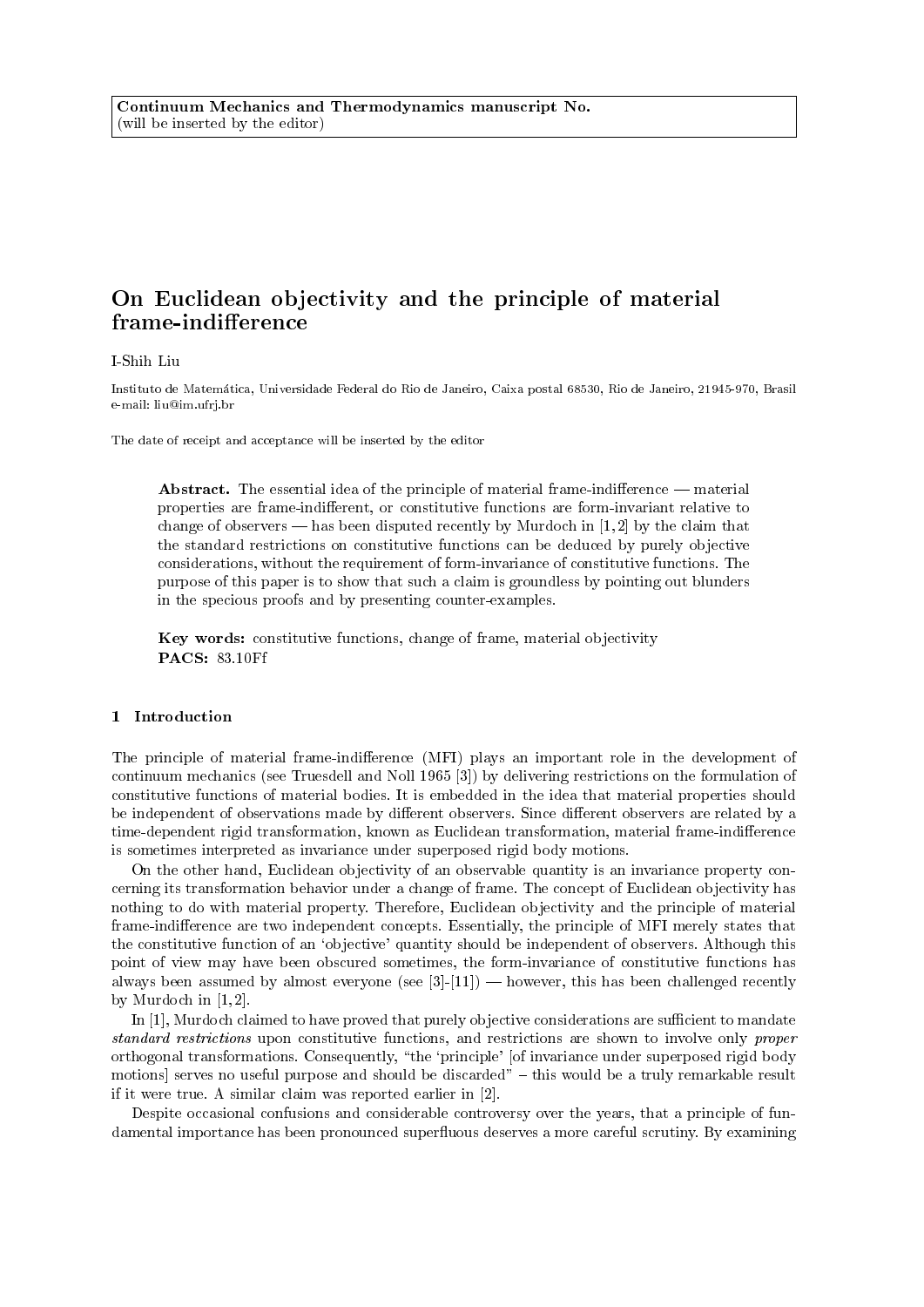# On Euclidean objectivity and the principle of material frame-indifference

## I-Shih Liu

Instituto de Matematica, Universidade Federal do Rio de Janeiro, Caixa postal 68530, Rio de Janeiro, 21945-970, Brasil e-mail: liu@im.ufrj.br

The date of receipt and acceptance will be inserted by the editor

Abstract. The essential idea of the principle of material frame-indifference  $-$  material properties are frame-indifferent, or constitutive functions are form-invariant relative to change of observers — has been disputed recently by Murdoch in  $[1, 2]$  by the claim that the standard restrictions on constitutive functions can be deduced by purely objective considerations, without the requirement of form-invariance of constitutive functions. The purpose of this paper is to show that such a claim is groundless by pointing out blunders in the specious proofs and by presenting counter-examples.

Key words: constitutive functions, change of frame, material objectivity PACS: 83.10Ff

## 1 Introduction

The principle of material frame-indifference (MFI) plays an important role in the development of continuum mechanics (see Truesdell and Noll 1965 [3]) by delivering restrictions on the formulation of constitutive functions of material bodies. It is embedded in the idea that material properties should be independent of observations made by different observers. Since different observers are related by a time-dependent rigid transformation, known as Euclidean transformation, material frame-indifference is sometimes interpreted as invariance under superposed rigid body motions.

On the other hand, Euclidean objectivity of an observable quantity is an invariance property concerning its transformation behavior under a change of frame. The concept of Euclidean objectivity has nothing to do with material property. Therefore, Euclidean objectivity and the principle of material frame-indifference are two independent concepts. Essentially, the principle of MFI merely states that the constitutive function of an `objective' quantity should be independent of observers. Although this point of view may have been obscured sometimes, the form-invariance of constitutive functions has always been assumed by almost everyone (see  $[3]-[11]$ ) — however, this has been challenged recently by Murdoch in  $[1, 2]$ .

In [1], Murdoch claimed to have proved that purely objective considerations are sufficient to mandate standard restrictions upon constitutive functions, and restrictions are shown to involve only proper orthogonal transformations. Consequently, \the `principle' [of invariance under superposed rigid body motions] serves no useful purpose and should be discarded"  $-$  this would be a truly remarkable result if it were true. A similar claim was reported earlier in [2].

Despite occasional confusions and considerable controversy over the years, that a principle of fundamental importance has been pronounced superfluous deserves a more careful scrutiny. By examining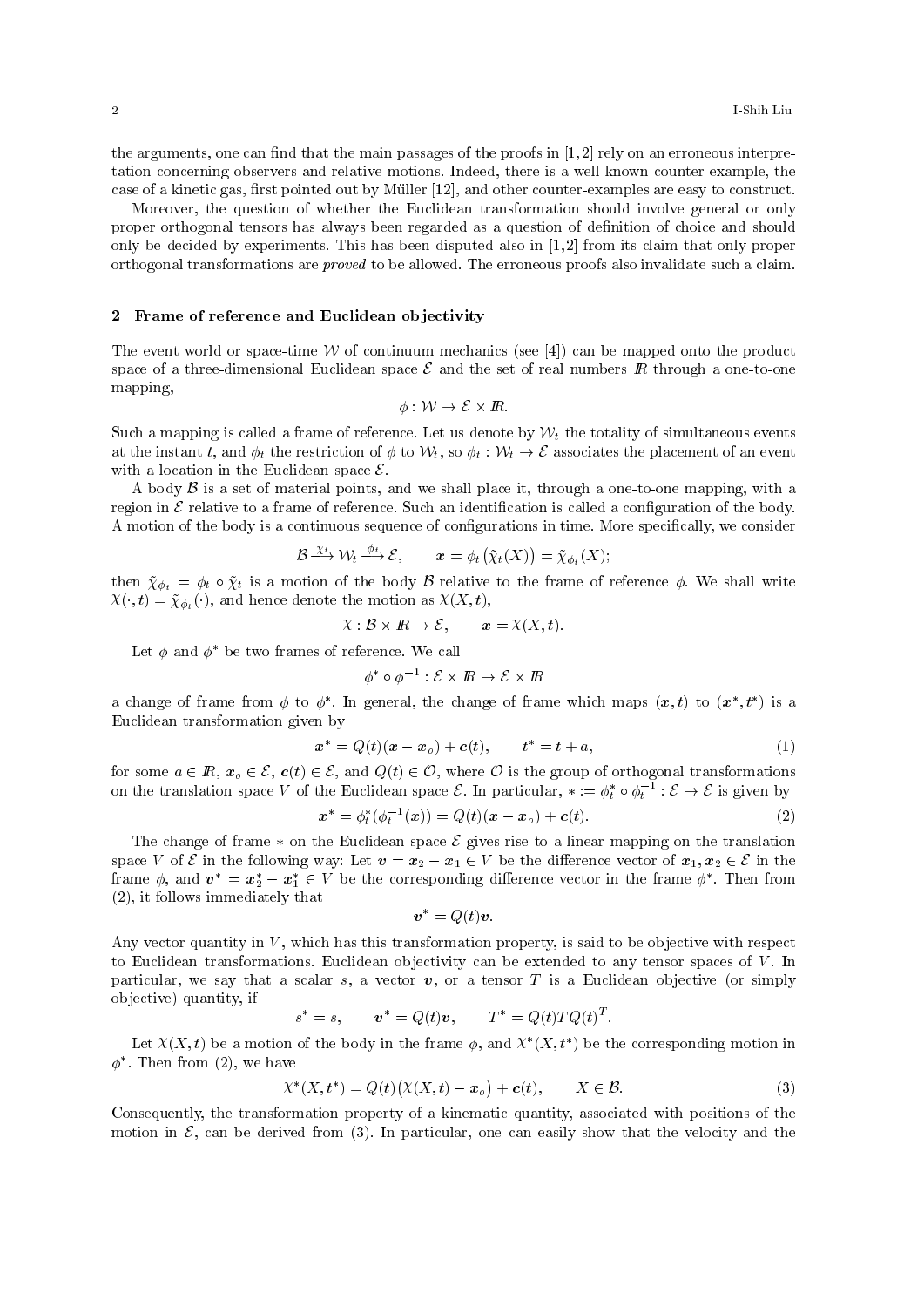the arguments, one can find that the main passages of the proofs in  $[1,2]$  rely on an erroneous interpretation concerning observers and relative motions. Indeed, there is a well-known counter-example, the case of a kinetic gas, first pointed out by Müller [12], and other counter-examples are easy to construct.

Moreover, the question of whether the Euclidean transformation should involve general or only proper orthogonal tensors has always been regarded as a question of denition of choice and should only be decided by experiments. This has been disputed also in [1, 2] from its claim that only proper orthogonal transformations are proved to be allowed. The erroneous proofs also invalidate such a claim.

# 2 Frame of reference and Euclidean objectivity

The event world or space-time  $W$  of continuum mechanics (see [4]) can be mapped onto the product space of a three-dimensional Euclidean space  $\mathcal E$  and the set of real numbers  $\mathbb R$  through a one-to-one mapping,

$$
\phi: \mathcal{W} \to \mathcal{E} \times I\!\!R.
$$

Such a mapping is called a frame of reference. Let us denote by  $W_t$  the totality of simultaneous events at the instant t, and  $\phi_t$  the restriction of  $\phi$  to  $\mathcal{W}_t$ , so  $\phi_t : \mathcal{W}_t \to \mathcal{E}$  associates the placement of an event with a location in the Euclidean space  $\mathcal{E}$ .

A body  $\beta$  is a set of material points, and we shall place it, through a one-to-one mapping, with a region in  $\mathcal E$  relative to a frame of reference. Such an identification is called a configuration of the body. A motion of the body is a continuous sequence of configurations in time. More specifically, we consider

$$
\mathcal{B} \xrightarrow{\bar{X}t} \mathcal{W}_t \xrightarrow{\phi_t} \mathcal{E}, \qquad \mathbf{x} = \phi_t(\tilde{\chi}_t(X)) = \tilde{\chi}_{\phi_t}(X);
$$

then  $\tilde{\chi}_{\phi_t} = \phi_t \circ \tilde{\chi}_t$  is a motion of the body  $\beta$  relative to the frame of reference  $\phi$ . We shall write  $X(\cdot, t) = \tilde{\chi}_{\phi_t}(\cdot)$ , and hence denote the motion as  $X(X, t)$ ,

$$
\mathcal{X}: \mathcal{B} \times \mathbb{R} \to \mathcal{E}, \qquad \mathbf{x} = \mathcal{X}(X, t).
$$

Let  $\phi$  and  $\phi^*$  be two frames of reference. We call

$$
\phi^* \circ \phi^{-1} : \mathcal{E} \times \mathbb{R} \to \mathcal{E} \times \mathbb{R}
$$

a change of frame from  $\phi$  to  $\phi^*$ . In general, the change of frame which maps  $(x, t)$  to  $(x^*, t^*)$  is a Euclidean transformation given by

$$
x^* = Q(t)(x - x_o) + c(t), \qquad t^* = t + a,
$$
\n(1)

for some  $a \in \mathbb{R}$ ,  $x_o \in \mathcal{E}$ ,  $c(t) \in \mathcal{E}$ , and  $Q(t) \in \mathcal{O}$ , where  $\mathcal O$  is the group of orthogonal transformations on the translation space V of the Euclidean space  $\mathcal{E}$ . In particular,  $* := \phi_t^* \circ \phi_t^{-1} : \mathcal{E} \to \mathcal{E}$  is given by

$$
x^* = \phi_t^* (\phi_t^{-1}(x)) = Q(t)(x - x_o) + c(t).
$$
 (2)

The change of frame  $*$  on the Euclidean space  $\mathcal E$  gives rise to a linear mapping on the translation space V of E in the following way: Let  $v = x_2 - x_1 \in V$  be the difference vector of  $x_1, x_2 \in \mathcal{E}$  in the frame  $\phi$ , and  $\mathbf{v}^* = \mathbf{x}_2^* - \mathbf{x}_1^* \in V$  be the corresponding difference vector in the frame  $\phi^*$ . Then from (2), it follows immediately that

$$
\boldsymbol{v}^* = Q(t)\boldsymbol{v}.
$$

Any vector quantity in  $V$ , which has this transformation property, is said to be objective with respect to Euclidean transformations. Euclidean objectivity can be extended to any tensor spaces of  $V$ . In particular, we say that a scalar s, a vector  $v$ , or a tensor T is a Euclidean objective (or simply objective) quantity, if

$$
s^* = s, \qquad \mathbf{v}^* = Q(t)\mathbf{v}, \qquad T^* = Q(t)TQ(t)^T.
$$

Let  $X(X, t)$  be a motion of the body in the frame  $\phi$ , and  $X^*(X, t^*)$  be the corresponding motion in  $\phi^*$ . Then from (2), we have

$$
\chi^*(X, t^*) = Q(t)\big(\chi(X, t) - x_o\big) + c(t), \qquad X \in \mathcal{B}.\tag{3}
$$

Consequently, the transformation property of a kinematic quantity, associated with positions of the motion in  $\mathcal{E}$ , can be derived from (3). In particular, one can easily show that the velocity and the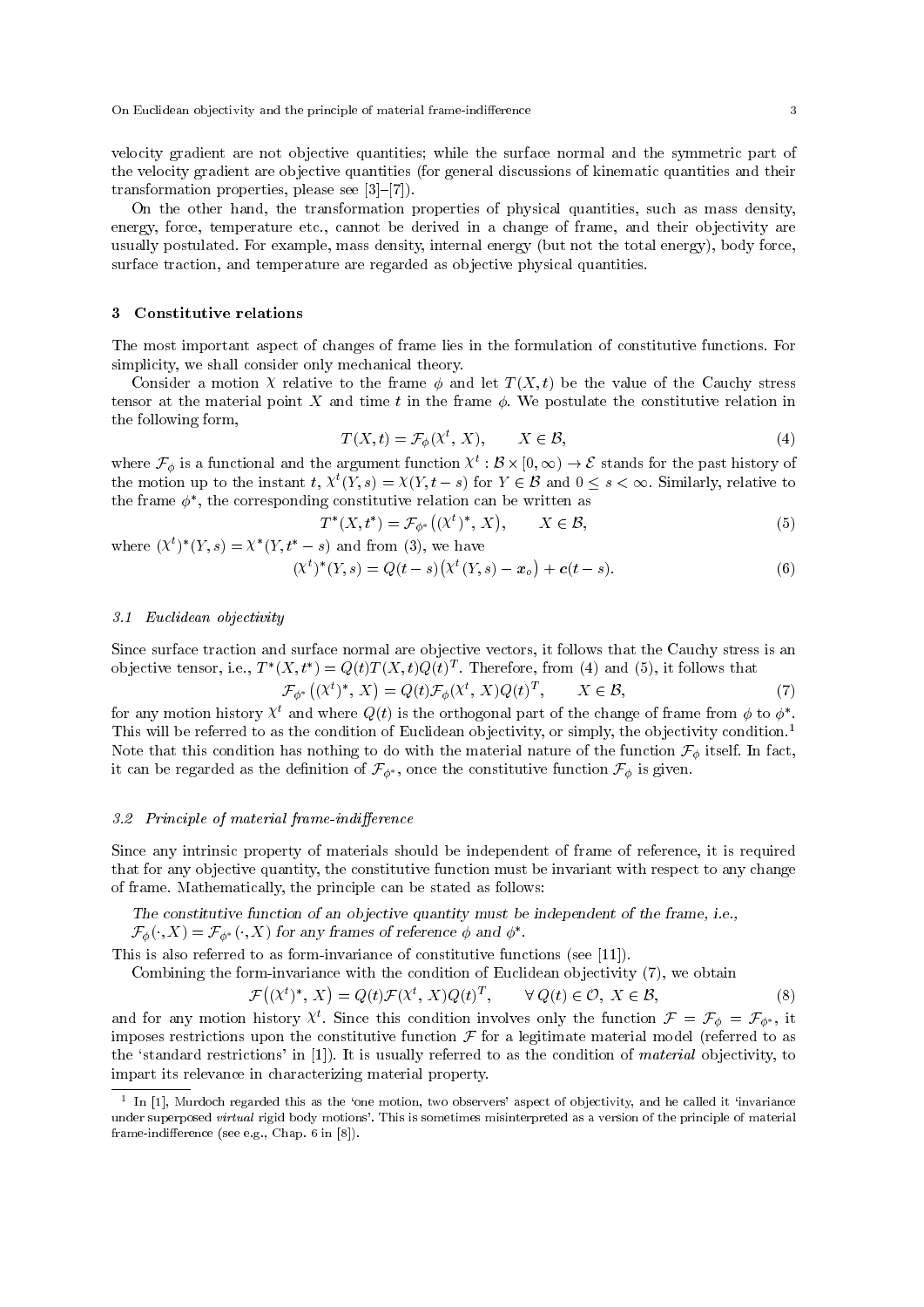On Euclidean objectivity and the principle of material frame-indifference 33

velocity gradient are not objective quantities; while the surface normal and the symmetric part of the velocity gradient are objective quantities (for general discussions of kinematic quantities and their transformation properties, please see  $[3]-[7]$ .

On the other hand, the transformation properties of physical quantities, such as mass density, energy, force, temperature etc., cannot be derived in a change of frame, and their objectivity are usually postulated. For example, mass density, internal energy (but not the total energy), body force, surface traction, and temperature are regarded as objective physical quantities.

# 3 Constitutive relations

The most important aspect of changes of frame lies in the formulation of constitutive functions. For simplicity, we shall consider only mechanical theory.

Consider a motion X relative to the frame  $\phi$  and let  $T(X, t)$  be the value of the Cauchy stress tensor at the material point X and time t in the frame  $\phi$ . We postulate the constitutive relation in the following form,

$$
T(X,t) = \mathcal{F}_{\phi}(X^t, X), \qquad X \in \mathcal{B}, \tag{4}
$$

where  $\mathcal{F}_{\phi}$  is a functional and the argument function  $\chi^t : \mathcal{B} \times [0, \infty) \to \mathcal{E}$  stands for the past history of the motion up to the instant  $t$ ,  $X^t(Y,s) = X(Y,t-s)$  for  $Y \in \mathcal{B}$  and  $0 \le s < \infty$ . Similarly, relative to the frame  $\phi^*$ , the corresponding constitutive relation can be written as

$$
T^*(X, t^*) = \mathcal{F}_{\phi^*}\big((X^t)^*, X\big), \qquad X \in \mathcal{B},\tag{5}
$$

where  $(X^{t})^{*}(Y, s) = X^{*}(Y, t^{*} - s)$  and from (3), we have  $(\chi^t)^*(Y,s) = Q(t-s)\left(\chi^t(Y,s) - \mathbf{x}_o\right) + \mathbf{c}(t-s).$  (6)

#### 3.1 Euclidean objectivity

Since surface traction and surface normal are objective vectors, it follows that the Cauchy stress is an objective tensor, i.e.,  $T^*(X, t^*) = Q(t)T(X, t)Q(t)^T$ . Therefore, from (4) and (5), it follows that

$$
\mathcal{F}_{\phi^*}\big((\chi^t)^*, X\big) = Q(t)\mathcal{F}_{\phi}\big(\chi^t, X\big)Q(t)^T, \qquad X \in \mathcal{B},\tag{7}
$$

for any motion history  $\chi^t$  and where  $Q(t)$  is the orthogonal part of the change of frame from  $\phi$  to  $\phi^*$ . This will be referred to as the condition of Euclidean objectivity, or simply, the objectivity condition.<sup>1</sup> Note that this condition has nothing to do with the material nature of the function  $\mathcal{F}_{\phi}$  itself. In fact, it can be regarded as the definition of  $\mathcal{F}_{\phi^*}$ , once the constitutive function  $\mathcal{F}_{\phi}$  is given.

## 3.2 Principle of material frame-indifference

Since any intrinsic property of materials should be independent of frame of reference, it is required that for any objective quantity, the constitutive function must be invariant with respect to any change of frame. Mathematically, the principle can be stated as follows:

The constitutive function of an objective quantity must be independent of the frame, i.e.,  $\mathcal{F}_{\phi}(\cdot, X) = \mathcal{F}_{\phi^*}(\cdot, X)$  for any frames of reference  $\phi$  and  $\phi^*$ .

This is also referred to as form-invariance of constitutive functions (see [11]).

Combining the form-invariance with the condition of Euclidean objectivity (7), we obtain

$$
\mathcal{F}((X^t)^*, X) = Q(t)\mathcal{F}(X^t, X)Q(t)^T, \qquad \forall Q(t) \in \mathcal{O}, X \in \mathcal{B},
$$
\n(8)

and for any motion history  $\chi^t$ . Since this condition involves only the function  $\mathcal{F} = \mathcal{F}_{\phi} = \mathcal{F}_{\phi^*}$ , it imposes restrictions upon the constitutive function  $\mathcal F$  for a legitimate material model (referred to as the 'standard restrictions' in  $[1]$ ). It is usually referred to as the condition of *material* objectivity, to impart its relevance in characterizing material property.

 $1$  In [1], Murdoch regarded this as the 'one motion, two observers' aspect of objectivity, and he called it 'invariance under superposed virtual rigid body motions'. This is sometimes misinterpreted as a version of the principle of material frame-indifference (see e.g., Chap. 6 in  $[8]$ ).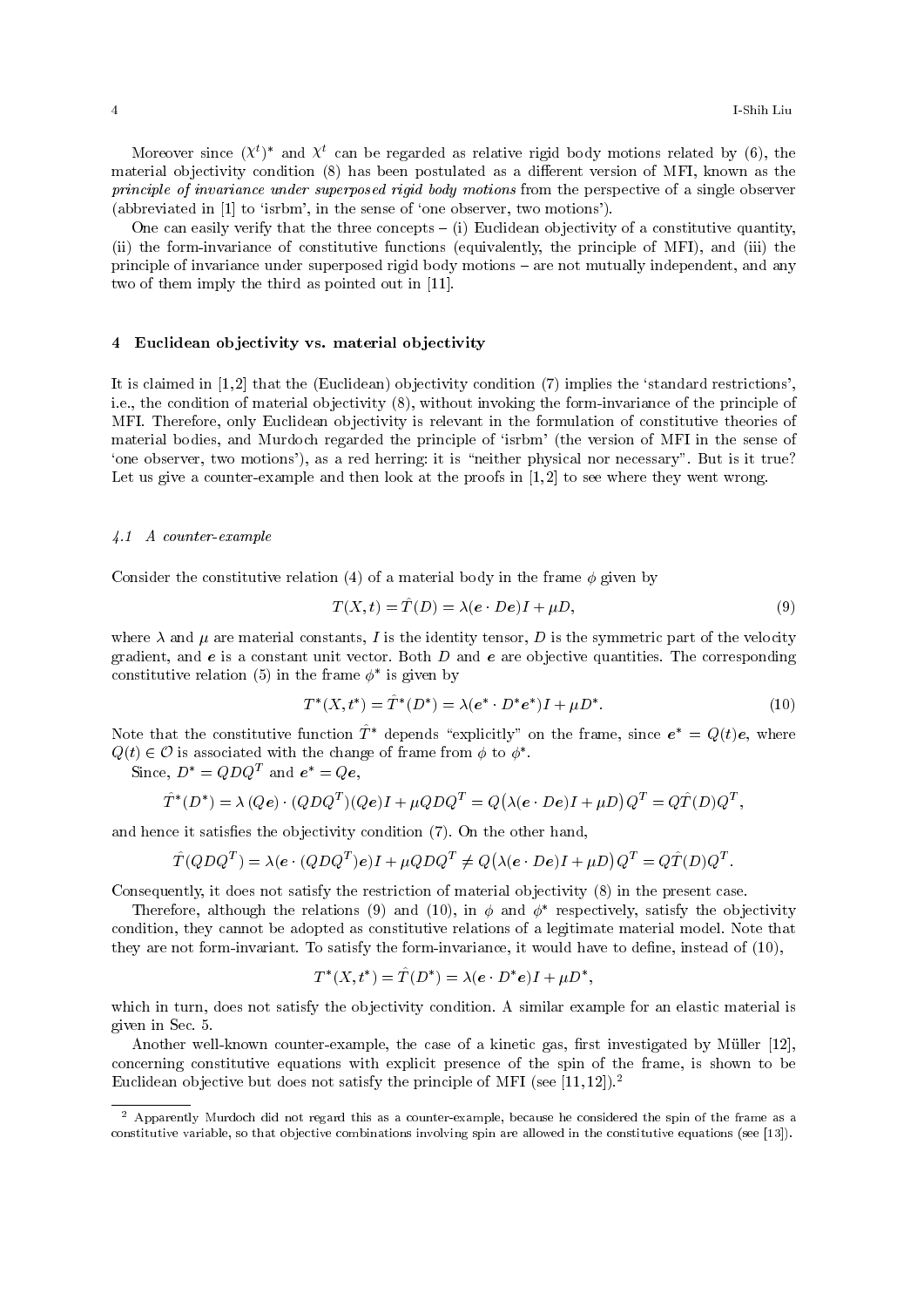Moreover since  $(\mathbf{\chi}^t)^*$  and  $\mathbf{\chi}^t$  can be regarded as relative rigid body motions related by (6), the material objectivity condition (8) has been postulated as a different version of MFI, known as the principle of invariance under superposed rigid body motions from the perspective of a single observer (abbreviated in [1] to `isrbm', in the sense of `one observer, two motions').

One can easily verify that the three concepts  $-$  (i) Euclidean objectivity of a constitutive quantity, (ii) the form-invariance of constitutive functions (equivalently, the principle of MFI), and (iii) the principle of invariance under superposed rigid body motions – are not mutually independent, and any two of them imply the third as pointed out in [11].

#### 4 Euclidean objectivity vs. material objectivity

It is claimed in  $[1, 2]$  that the (Euclidean) objectivity condition  $(7)$  implies the 'standard restrictions', i.e., the condition of material objectivity (8), without invoking the form-invariance of the principle of MFI. Therefore, only Euclidean objectivity is relevant in the formulation of constitutive theories of material bodies, and Murdoch regarded the principle of `isrbm' (the version of MFI in the sense of 'one observer, two motions'), as a red herring: it is "neither physical nor necessary". But is it true? Let us give a counter-example and then look at the proofs in  $[1,2]$  to see where they went wrong.

#### 4.1 A counter-example

Consider the constitutive relation (4) of a material body in the frame  $\phi$  given by

$$
T(X,t) = \hat{T}(D) = \lambda(e \cdot De)I + \mu D,\tag{9}
$$

where  $\lambda$  and  $\mu$  are material constants, I is the identity tensor, D is the symmetric part of the velocity gradient, and  $e$  is a constant unit vector. Both D and  $e$  are objective quantities. The corresponding constitutive relation (5) in the frame  $\phi^*$  is given by

$$
T^*(X, t^*) = \hat{T}^*(D^*) = \lambda(e^* \cdot D^*e^*)I + \mu D^*.
$$
 (10)

Note that the constitutive function  $\hat{T}^*$  depends "explicitly" on the frame, since  $e^* = Q(t)e$ , where  $Q(t) \in \mathcal{O}$  is associated with the change of frame from  $\phi$  to  $\phi^*$ .

Since,  $D^* = QDQ^T$  and  $e^* = Qe$ ,

$$
\hat{T}^*(D^*) = \lambda (Q\boldsymbol{e}) \cdot (QDQ^T)(Q\boldsymbol{e})I + \mu QDQ^T = Q(\lambda(\boldsymbol{e} \cdot D\boldsymbol{e})I + \mu D)Q^T = Q\hat{T}(D)Q^T,
$$

and hence it satisfies the objectivity condition  $(7)$ . On the other hand,

$$
\hat{T}(QDQ^{T}) = \lambda(e \cdot (QDQ^{T})e)I + \mu QDQ^{T} \neq Q(\lambda(e \cdot De)I + \mu D)Q^{T} = Q\hat{T}(D)Q^{T}.
$$

Consequently, it does not satisfy the restriction of material objectivity (8) in the present case.

Therefore, although the relations (9) and (10), in  $\phi$  and  $\phi^*$  respectively, satisfy the objectivity condition, they cannot be adopted as constitutive relations of a legitimate material model. Note that they are not form-invariant. To satisfy the form-invariance, it would have to define, instead of  $(10)$ ,

$$
T^*(X, t^*) = \hat{T}(D^*) = \lambda(e \cdot D^*e)I + \mu D^*,
$$

which in turn, does not satisfy the objectivity condition. A similar example for an elastic material is given in Sec. 5.

Another well-known counter-example, the case of a kinetic gas, first investigated by Müller [12], concerning constitutive equations with explicit presence of the spin of the frame, is shown to be Euclidean objective but does not satisfy the principle of MFI (see [11,12]).<sup>2</sup>

<sup>2</sup> Apparently Murdoch did not regard this as a counter-example, because he considered the spin of the frame as a constitutive variable, so that objective combinations involving spin are allowed in the constitutive equations (see [13]).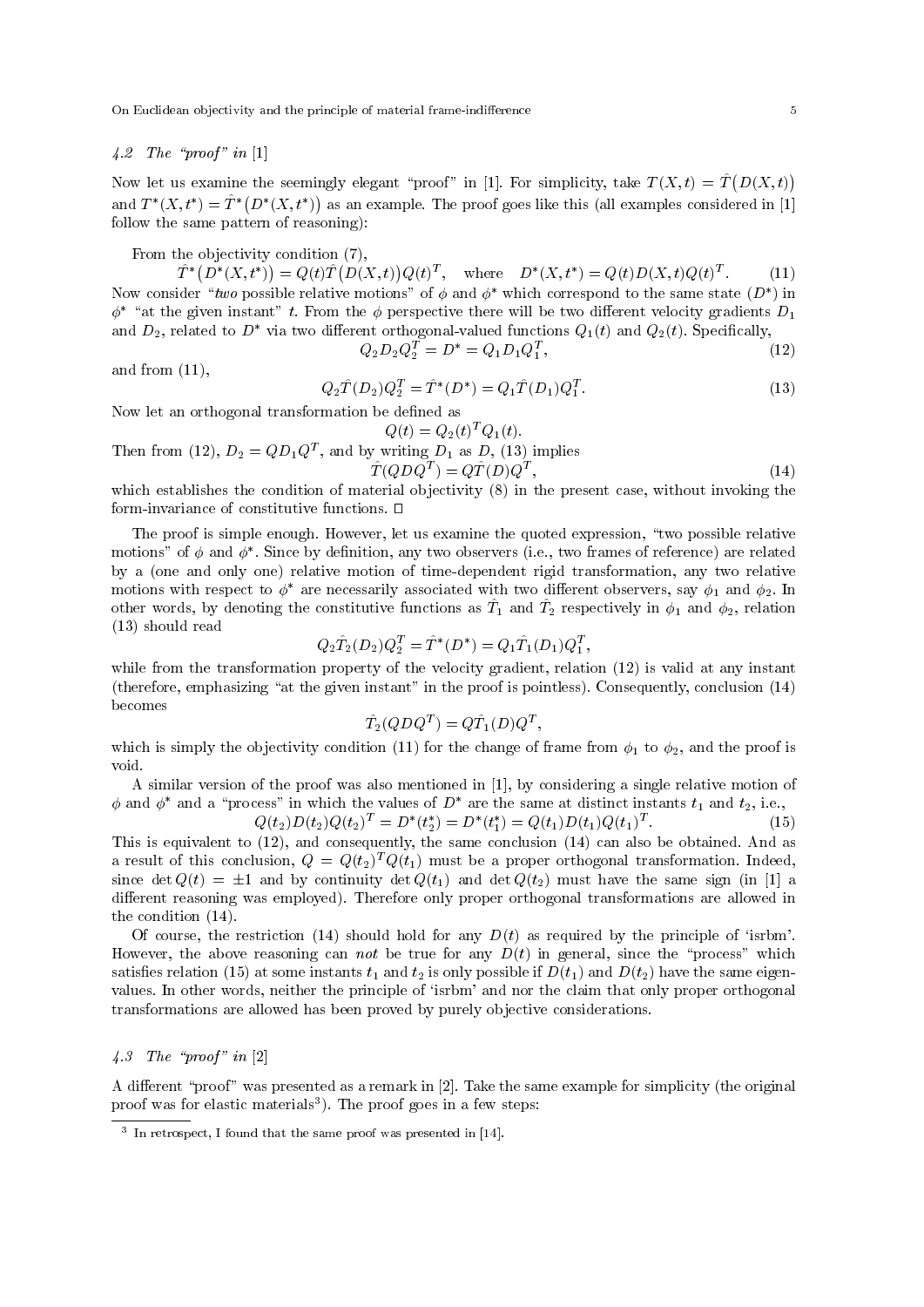On Euclidean objectivity and the principle of material frame-indierence 5

# $4.2$  The "proof" in [1]

Now let us examine the seemingly elegant "proof" in [1]. For simplicity, take  $T(X, t) = \hat{T}(D(X, t))$ and  $T^*(X, t^*) = \hat{T}^*(D^*(X, t^*))$  as an example. The proof goes like this (all examples considered in [1] follow the same pattern of reasoning):

From the objectivity condition (7),

 $\hat{T}^*\left(D^*(X, t^*)\right) = Q(t)\hat{T}\left(D(X, t)\right)Q(t)^T, \text{ where } D^*(X, t^*) = Q(t)D(X, t)Q(t)^T$  $(11)$ Now consider "two possible relative motions" of  $\phi$  and  $\phi^*$  which correspond to the same state  $(D^*)$  in  $\phi^*$  "at the given instant" t. From the  $\phi$  perspective there will be two different velocity gradients  $D_1$ and  $D_2$ , related to  $D^*$  via two different orthogonal-valued functions  $Q_1(t)$  and  $Q_2(t)$ . Specifically,<br> $Q_2D_2Q_2^T = D^* = Q_1D_1Q_1^T$ , (12)

 $Q_2 D_2 Q_2^T = D^* = Q_1 D_1 Q_1^T$ 

and from 
$$
(11)
$$
,

$$
Q_2\hat{T}(D_2)Q_2^T = \hat{T}^*(D^*) = Q_1\hat{T}(D_1)Q_1^T.
$$
\n(13)

Now let an orthogonal transformation be defined as

$$
Q(t) = Q_2(t)^T Q_1(t).
$$

Then from (12),  $D_2 = Q D_1 Q^T$ , and by writing  $D_1$  as  $D$ , (13) implies

$$
\hat{T}(QDQ^T) = Q\hat{T}(D)Q^T,\tag{14}
$$

 $,$  (12)

which establishes the condition of material objectivity (8) in the present case, without invoking the form-invariance of constitutive functions.  $\Box$ 

The proof is simple enough. However, let us examine the quoted expression, "two possible relative motions" of  $\phi$  and  $\phi^*$ . Since by definition, any two observers (i.e., two frames of reference) are related by a (one and only one) relative motion of time-dependent rigid transformation, any two relative motions with respect to  $\phi^*$  are necessarily associated with two different observers, say  $\phi_1$  and  $\phi_2$ . In other words, by denoting the constitutive functions as  $\hat{T}_1$  and  $\hat{T}_2$  respectively in  $\phi_1$  and  $\phi_2$ , relation (13) should read

$$
Q_2 \hat{T}_2(D_2) Q_2^T = \hat{T}^*(D^*) = Q_1 \hat{T}_1(D_1) Q_1^T,
$$

while from the transformation property of the velocity gradient, relation (12) is valid at any instant (therefore, emphasizing "at the given instant" in the proof is pointless). Consequently, conclusion  $(14)$ becomes

$$
\hat{T}_2(QDQ^T) = Q\hat{T}_1(D)Q^T,
$$

which is simply the objectivity condition (11) for the change of frame from  $\phi_1$  to  $\phi_2$ , and the proof is void.

A similar version of the proof was also mentioned in [1], by considering a single relative motion of  $\phi$  and  $\phi^*$  and a "process" in which the values of  $D^*$  are the same at distinct instants  $t_1$  and  $t_2$ , i.e.,

$$
Q(t_2)D(t_2)Q(t_2)^T = D^*(t_2^*) = D^*(t_1^*) = Q(t_1)D(t_1)Q(t_1)^T.
$$
\n(15)

This is equivalent to (12), and consequently, the same conclusion (14) can also be obtained. And as a result of this conclusion,  $Q = Q(t_2)^T Q(t_1)$  must be a proper orthogonal transformation. Indeed, since det  $Q(t) = \pm 1$  and by continuity det  $Q(t_1)$  and det  $Q(t_2)$  must have the same sign (in [1] a different reasoning was employed). Therefore only proper orthogonal transformations are allowed in the condition (14).

Of course, the restriction (14) should hold for any  $D(t)$  as required by the principle of 'isrbm'. However, the above reasoning can not be true for any  $D(t)$  in general, since the "process" which satisfies relation (15) at some instants  $t_1$  and  $t_2$  is only possible if  $D(t_1)$  and  $D(t_2)$  have the same eigenvalues. In other words, neither the principle of `isrbm' and nor the claim that only proper orthogonal transformations are allowed has been proved by purely objective considerations.

# $\angle 4.3$  The "proof" in [2]

A different "proof" was presented as a remark in  $[2]$ . Take the same example for simplicity (the original proof was for elastic materials<sup>3</sup>). The proof goes in a few steps:

<sup>&</sup>lt;sup>3</sup> In retrospect, I found that the same proof was presented in [14].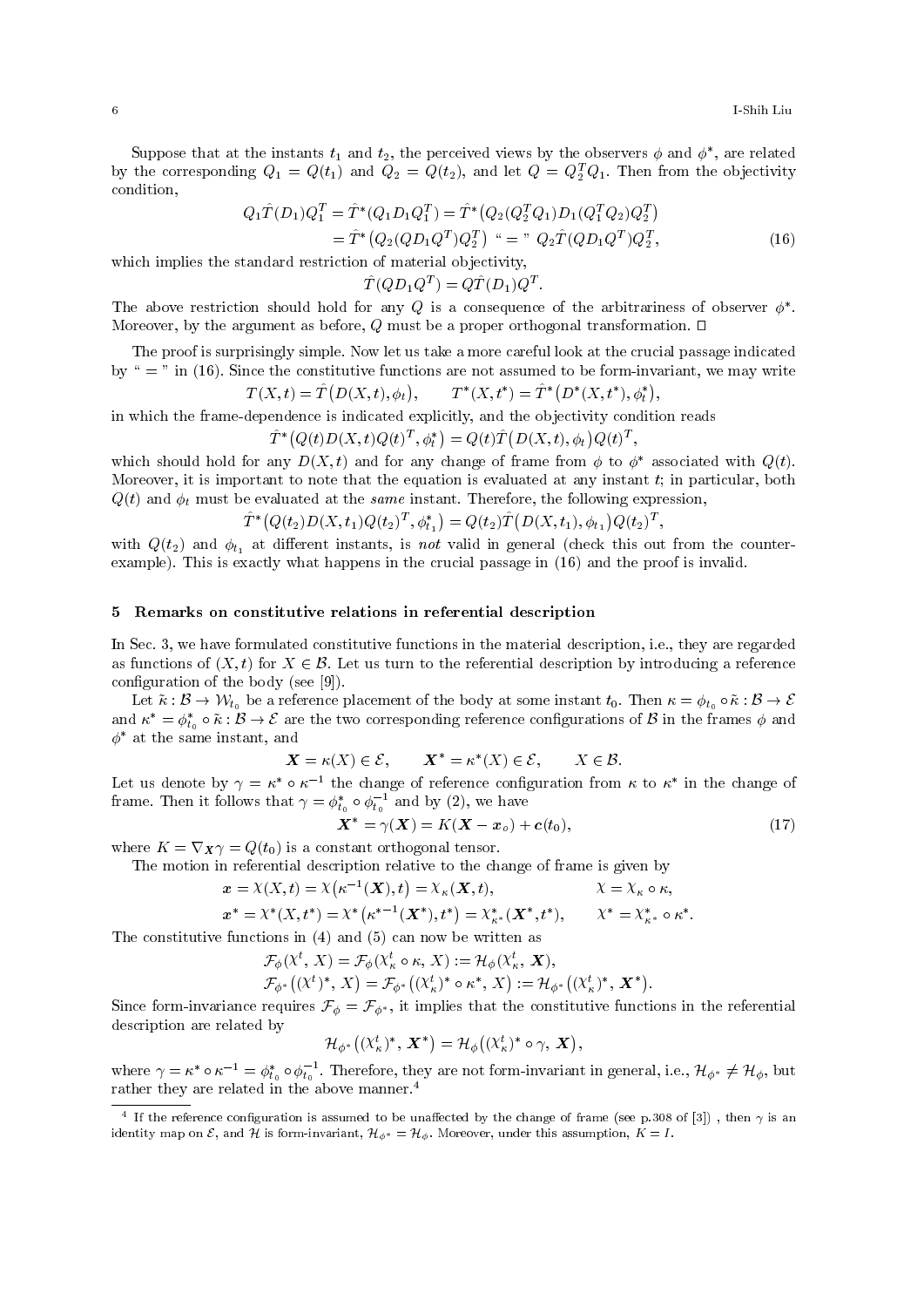Suppose that at the instants  $t_1$  and  $t_2$ , the perceived views by the observers  $\phi$  and  $\phi^*$ , are related by the corresponding  $Q_1 = Q(t_1)$  and  $Q_2 = Q(t_2)$ , and let  $Q = Q_2^T Q_1$ . Then from the objectivity condition,

$$
Q_1 \hat{T}(D_1) Q_1^T = \hat{T}^*(Q_1 D_1 Q_1^T) = \hat{T}^*(Q_2 (Q_2^T Q_1) D_1 (Q_1^T Q_2) Q_2^T)
$$
  
=  $\hat{T}^*(Q_2 (Q D_1 Q^T) Q_2^T)^{\omega} = \gamma^* Q_2 \hat{T}(Q D_1 Q^T) Q_2^T,$  (16)

which implies the standard restriction of material objectivity,

 $\hat{T}(QD_1Q^T) = Q\hat{T}(D_1)Q^T.$ 

The above restriction should hold for any  $Q$  is a consequence of the arbitrariness of observer  $\phi^*$ . Moreover, by the argument as before, Q must be a proper orthogonal transformation.  $\Box$ 

The proof is surprisingly simple. Now let us take a more careful look at the crucial passage indicated by " = " in (16). Since the constitutive functions are not assumed to be form-invariant, we may write

$$
T(X,t) = \hat{T}(D(X,t), \phi_t), \qquad T^*(X,t^*) = \hat{T}^*(D^*(X,t^*), \phi_t^*),
$$

in which the frame-dependence is indicated explicitly, and the objectivity condition reads

$$
\hat{T}^* (Q(t)D(X, t)Q(t)^T, \phi_t^*) = Q(t)\hat{T}(D(X, t), \phi_t)Q(t)^T
$$

which should hold for any  $D(X, t)$  and for any change of frame from  $\phi$  to  $\phi^*$  associated with  $Q(t)$ . Moreover, it is important to note that the equation is evaluated at any instant  $t$ ; in particular, both  $Q(t)$  and  $\phi_t$  must be evaluated at the same instant. Therefore, the following expression,

$$
\hat{T}^*\big(Q(t_2)D(X,t_1)Q(t_2)^T,\phi_{t_1}^*\big)=Q(t_2)\hat{T}\big(D(X,t_1),\phi_{t_1}\big)Q(t_2)^T,
$$

with  $Q(t_2)$  and  $\phi_{t_1}$  at different instants, is not valid in general (check this out from the counterexample). This is exactly what happens in the crucial passage in (16) and the proof is invalid.

#### 5 Remarks on constitutive relations in referential description

In Sec. 3, we have formulated constitutive functions in the material description, i.e., they are regarded as functions of  $(X, t)$  for  $X \in \mathcal{B}$ . Let us turn to the referential description by introducing a reference configuration of the body (see [9]).

Let  $\tilde{\kappa} : \mathcal{B} \to \mathcal{W}_{t_0}$  be a reference placement of the body at some instant  $t_0$ . Then  $\kappa = \phi_{t_0} \circ \tilde{\kappa} : \mathcal{B} \to \mathcal{E}$ and  $\kappa^* = \phi_{t_0}^* \circ \tilde{\kappa} : \mathcal{B} \to \mathcal{E}$  are the two corresponding reference configurations of  $\mathcal{B}$  in the frames  $\phi$  and  $t_{0}$  $\phi^*$  at the same instant, and

$$
\mathbf{X} = \kappa(X) \in \mathcal{E}, \qquad \mathbf{X}^* = \kappa^*(X) \in \mathcal{E}, \qquad X \in \mathcal{B}.
$$

Let us denote by  $\gamma = \kappa^* \circ \kappa^{-1}$  the change of reference configuration from  $\kappa$  to  $\kappa^*$  in the change of frame. Then it follows that  $\gamma = \phi_{t_i}^*$  $_{t_0}^* \circ \phi_{t_0}^{-1}$  and by (2), we have

$$
\boldsymbol{X}^* = \gamma(\boldsymbol{X}) = K(\boldsymbol{X} - \boldsymbol{x}_o) + \boldsymbol{c}(t_0),\tag{17}
$$

;

where  $K = \nabla_{\mathbf{X}} \gamma = Q(t_0)$  is a constant orthogonal tensor.

The motion in referential description relative to the change of frame is given by

$$
\mathbf{x} = \mathcal{X}(X, t) = \mathcal{X}(\kappa^{-1}(\mathbf{X}), t) = \mathcal{X}_{\kappa}(\mathbf{X}, t), \qquad \qquad \mathcal{X} = \mathcal{X}_{\kappa} \circ \kappa,
$$

$$
x^* = \chi^*(X, t^*) = \chi^*\left(\kappa^{*-1}(\boldsymbol{X}^*), t^*\right) = \chi^*_{\kappa^*}(\boldsymbol{X}^*, t^*), \qquad \chi^* = \chi^*_{\kappa^*} \circ \kappa^*.
$$

The constitutive functions in (4) and (5) can now be written as

$$
\mathcal{F}_{\phi}(\mathcal{X}^{t}, X) = \mathcal{F}_{\phi}(\mathcal{X}^{t}_{\kappa} \circ \kappa, X) := \mathcal{H}_{\phi}(\mathcal{X}^{t}_{\kappa}, \mathbf{X}),
$$
  

$$
\mathcal{F}_{\phi^{*}}((\mathcal{X}^{t})^{*}, X) = \mathcal{F}_{\phi^{*}}((\mathcal{X}^{t}_{\kappa})^{*} \circ \kappa^{*}, X) := \mathcal{H}_{\phi^{*}}((\mathcal{X}^{t}_{\kappa})^{*}, \mathbf{X}^{*}).
$$

Since form-invariance requires  $\mathcal{F}_{\phi} = \mathcal{F}_{\phi^*}$ , it implies that the constitutive functions in the referential description are related by

$$
\mathcal{H}_{\phi^*}\big((\chi_{\kappa}^t)^*, \, \boldsymbol{X}^*\big) = \mathcal{H}_{\phi}\big((\chi_{\kappa}^t)^* \circ \gamma, \, \boldsymbol{X}\big),
$$

where  $\gamma = \kappa^* \circ \kappa^{-1} = \phi_{t_i}^*$  $t_0^* \circ \phi_{t_0}^{-1}$ . Therefore, they are not form-invariant in general, i.e.,  $\mathcal{H}_{\phi^*} \neq \mathcal{H}_{\phi}$ , but rather they are related in the above manner.<sup>4</sup>

<sup>&</sup>lt;sup>4</sup> If the reference configuration is assumed to be unaffected by the change of frame (see p.308 of [3]), then  $\gamma$  is an identity map on  $\mathcal E$ , and  $\mathcal H$  is form-invariant,  $\mathcal H_{\phi^*} = \mathcal H_\phi$ . Moreover, under this assumption,  $K = I$ .